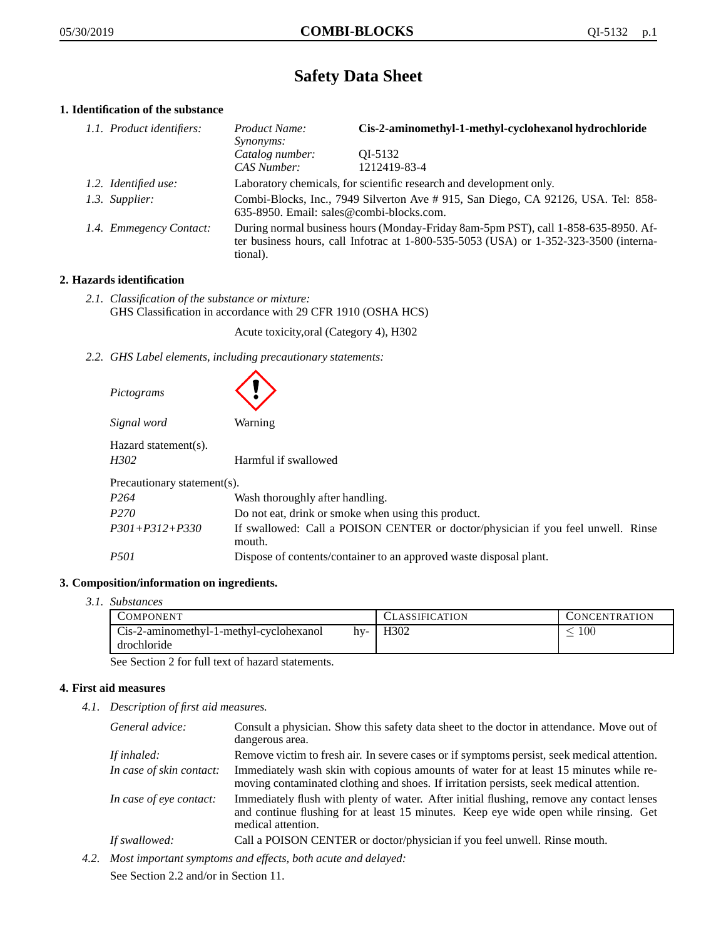# **Safety Data Sheet**

# **1. Identification of the substance**

| 1.1. Product identifiers: | Product Name:<br><i>Synonyms:</i>                                                                                                                                                       | Cis-2-aminomethyl-1-methyl-cyclohexanol hydrochloride                             |
|---------------------------|-----------------------------------------------------------------------------------------------------------------------------------------------------------------------------------------|-----------------------------------------------------------------------------------|
|                           | Catalog number:<br>CAS Number:                                                                                                                                                          | OI-5132<br>1212419-83-4                                                           |
| 1.2. Identified use:      |                                                                                                                                                                                         | Laboratory chemicals, for scientific research and development only.               |
| 1.3. Supplier:            | 635-8950. Email: sales@combi-blocks.com.                                                                                                                                                | Combi-Blocks, Inc., 7949 Silverton Ave # 915, San Diego, CA 92126, USA. Tel: 858- |
| 1.4. Emmegency Contact:   | During normal business hours (Monday-Friday 8am-5pm PST), call 1-858-635-8950. Af-<br>ter business hours, call Infotrac at 1-800-535-5053 (USA) or 1-352-323-3500 (interna-<br>tional). |                                                                                   |

# **2. Hazards identification**

*2.1. Classification of the substance or mixture:* GHS Classification in accordance with 29 CFR 1910 (OSHA HCS)

Acute toxicity,oral (Category 4), H302

*2.2. GHS Label elements, including precautionary statements:*

| Pictograms                   |                                                                                            |  |  |
|------------------------------|--------------------------------------------------------------------------------------------|--|--|
| Signal word                  | <b>Warning</b>                                                                             |  |  |
| Hazard statement(s).<br>H302 | Harmful if swallowed                                                                       |  |  |
| Precautionary statement(s).  |                                                                                            |  |  |
| P <sub>264</sub>             | Wash thoroughly after handling.                                                            |  |  |
| P <sub>270</sub>             | Do not eat, drink or smoke when using this product.                                        |  |  |
| $P301 + P312 + P330$         | If swallowed: Call a POISON CENTER or doctor/physician if you feel unwell. Rinse<br>mouth. |  |  |
| <i>P501</i>                  | Dispose of contents/container to an approved waste disposal plant.                         |  |  |

## **3. Composition/information on ingredients.**

*3.1. Substances*

| <b>COMPONENT</b>                               | <b>CLASSIFICATION</b> | <b>CONCENTRATION</b> |
|------------------------------------------------|-----------------------|----------------------|
| Cis-2-aminomethyl-1-methyl-cyclohexanol<br>hv- | H <sub>3</sub> 02     | 100                  |
| drochloride                                    |                       |                      |

See Section 2 for full text of hazard statements.

# **4. First aid measures**

*4.1. Description of first aid measures.*

| General advice:          | Consult a physician. Show this safety data sheet to the doctor in attendance. Move out of<br>dangerous area.                                                                                            |
|--------------------------|---------------------------------------------------------------------------------------------------------------------------------------------------------------------------------------------------------|
| If inhaled:              | Remove victim to fresh air. In severe cases or if symptoms persist, seek medical attention.                                                                                                             |
| In case of skin contact: | Immediately wash skin with copious amounts of water for at least 15 minutes while re-<br>moving contaminated clothing and shoes. If irritation persists, seek medical attention.                        |
| In case of eye contact:  | Immediately flush with plenty of water. After initial flushing, remove any contact lenses<br>and continue flushing for at least 15 minutes. Keep eye wide open while rinsing. Get<br>medical attention. |
| If swallowed:            | Call a POISON CENTER or doctor/physician if you feel unwell. Rinse mouth.                                                                                                                               |

*4.2. Most important symptoms and effects, both acute and delayed:*

See Section 2.2 and/or in Section 11.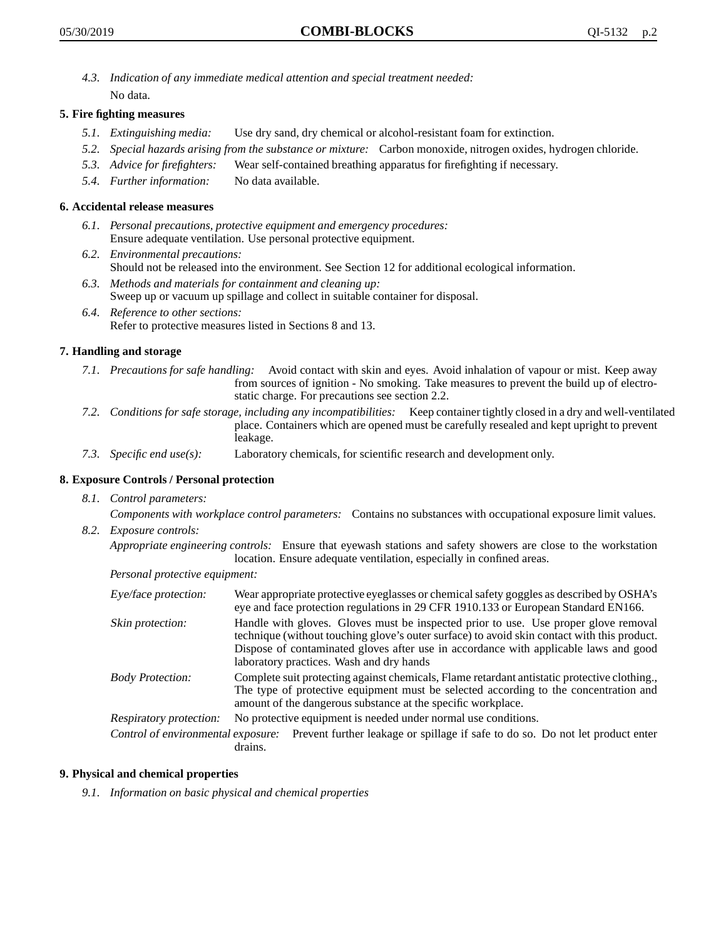*4.3. Indication of any immediate medical attention and special treatment needed:* No data.

## **5. Fire fighting measures**

- *5.1. Extinguishing media:* Use dry sand, dry chemical or alcohol-resistant foam for extinction.
- *5.2. Special hazards arising from the substance or mixture:* Carbon monoxide, nitrogen oxides, hydrogen chloride.
- *5.3. Advice for firefighters:* Wear self-contained breathing apparatus for firefighting if necessary.
- *5.4. Further information:* No data available.

### **6. Accidental release measures**

- *6.1. Personal precautions, protective equipment and emergency procedures:* Ensure adequate ventilation. Use personal protective equipment.
- *6.2. Environmental precautions:* Should not be released into the environment. See Section 12 for additional ecological information.
- *6.3. Methods and materials for containment and cleaning up:* Sweep up or vacuum up spillage and collect in suitable container for disposal.
- *6.4. Reference to other sections:* Refer to protective measures listed in Sections 8 and 13.

#### **7. Handling and storage**

- *7.1. Precautions for safe handling:* Avoid contact with skin and eyes. Avoid inhalation of vapour or mist. Keep away from sources of ignition - No smoking. Take measures to prevent the build up of electrostatic charge. For precautions see section 2.2.
- *7.2. Conditions for safe storage, including any incompatibilities:* Keep container tightly closed in a dry and well-ventilated place. Containers which are opened must be carefully resealed and kept upright to prevent leakage.
- *7.3. Specific end use(s):* Laboratory chemicals, for scientific research and development only.

#### **8. Exposure Controls / Personal protection**

*8.1. Control parameters:*

*Components with workplace control parameters:* Contains no substances with occupational exposure limit values.

*8.2. Exposure controls:*

*Appropriate engineering controls:* Ensure that eyewash stations and safety showers are close to the workstation location. Ensure adequate ventilation, especially in confined areas.

*Personal protective equipment:*

| Eye/face protection:    | Wear appropriate protective eyeglasses or chemical safety goggles as described by OSHA's<br>eye and face protection regulations in 29 CFR 1910.133 or European Standard EN166.                                                                                                                                         |
|-------------------------|------------------------------------------------------------------------------------------------------------------------------------------------------------------------------------------------------------------------------------------------------------------------------------------------------------------------|
| Skin protection:        | Handle with gloves. Gloves must be inspected prior to use. Use proper glove removal<br>technique (without touching glove's outer surface) to avoid skin contact with this product.<br>Dispose of contaminated gloves after use in accordance with applicable laws and good<br>laboratory practices. Wash and dry hands |
| <b>Body Protection:</b> | Complete suit protecting against chemicals, Flame retardant antistatic protective clothing.,<br>The type of protective equipment must be selected according to the concentration and<br>amount of the dangerous substance at the specific workplace.                                                                   |
| Respiratory protection: | No protective equipment is needed under normal use conditions.                                                                                                                                                                                                                                                         |
|                         | Control of environmental exposure: Prevent further leakage or spillage if safe to do so. Do not let product enter<br>drains.                                                                                                                                                                                           |

### **9. Physical and chemical properties**

*9.1. Information on basic physical and chemical properties*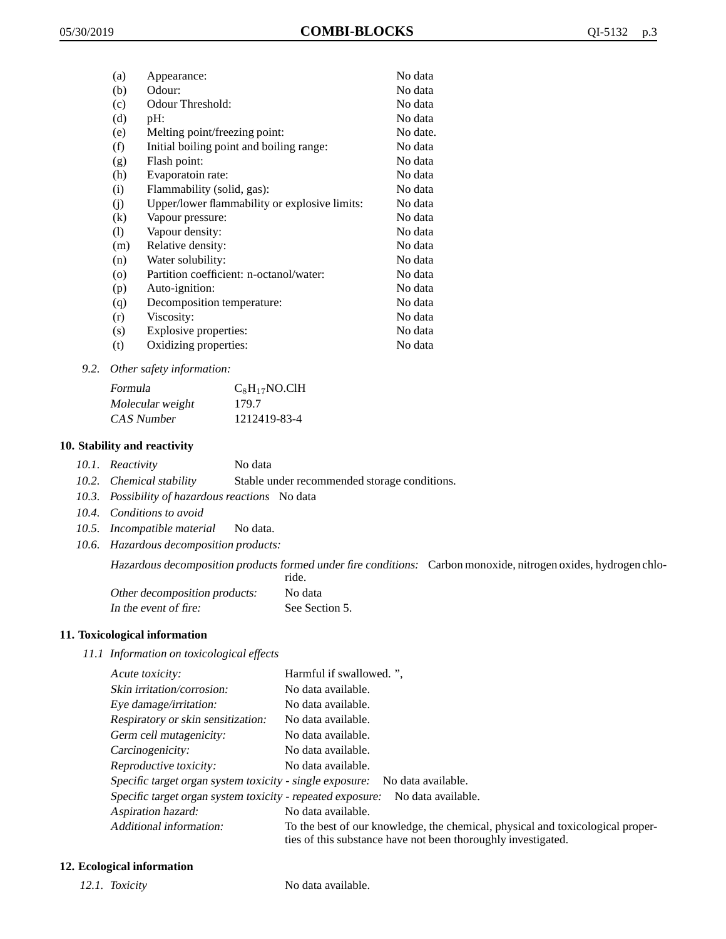| (a) | Appearance:                                   | No data  |
|-----|-----------------------------------------------|----------|
| (b) | Odour:                                        | No data  |
| (c) | Odour Threshold:                              | No data  |
| (d) | pH:                                           | No data  |
| (e) | Melting point/freezing point:                 | No date. |
| (f) | Initial boiling point and boiling range:      | No data  |
| (g) | Flash point:                                  | No data  |
| (h) | Evaporatoin rate:                             | No data  |
| (i) | Flammability (solid, gas):                    | No data  |
| (i) | Upper/lower flammability or explosive limits: | No data  |
| (k) | Vapour pressure:                              | No data  |
| (1) | Vapour density:                               | No data  |
| (m) | Relative density:                             | No data  |
| (n) | Water solubility:                             | No data  |
| (0) | Partition coefficient: n-octanol/water:       | No data  |
| (p) | Auto-ignition:                                | No data  |
| (q) | Decomposition temperature:                    | No data  |
| (r) | Viscosity:                                    | No data  |
| (s) | Explosive properties:                         | No data  |
| (t) | Oxidizing properties:                         | No data  |
|     |                                               |          |

*9.2. Other safety information:*

| Formula          | $C_8H_{17}NO$ .ClH |
|------------------|--------------------|
| Molecular weight | 179.7              |
| CAS Number       | 1212419-83-4       |

## **10. Stability and reactivity**

|  | 10.1. Reactivity | No data |
|--|------------------|---------|
|--|------------------|---------|

- *10.2. Chemical stability* Stable under recommended storage conditions.
- *10.3. Possibility of hazardous reactions* No data
- *10.4. Conditions to avoid*
- *10.5. Incompatible material* No data.
- *10.6. Hazardous decomposition products:*

Hazardous decomposition products formed under fire conditions: Carbon monoxide, nitrogen oxides, hydrogen chloride.

|                               | .              |
|-------------------------------|----------------|
| Other decomposition products: | No data        |
| In the event of fire:         | See Section 5. |

#### **11. Toxicological information**

*11.1 Information on toxicological effects*

| Acute toxicity:                                            | Harmful if swallowed. ".                                                                                                                        |
|------------------------------------------------------------|-------------------------------------------------------------------------------------------------------------------------------------------------|
| Skin irritation/corrosion:                                 | No data available.                                                                                                                              |
| Eye damage/irritation:                                     | No data available.                                                                                                                              |
| Respiratory or skin sensitization:                         | No data available.                                                                                                                              |
| Germ cell mutagenicity:                                    | No data available.                                                                                                                              |
| Carcinogenicity:                                           | No data available.                                                                                                                              |
| Reproductive toxicity:                                     | No data available.                                                                                                                              |
| Specific target organ system toxicity - single exposure:   | No data available.                                                                                                                              |
| Specific target organ system toxicity - repeated exposure: | No data available.                                                                                                                              |
| Aspiration hazard:                                         | No data available.                                                                                                                              |
| Additional information:                                    | To the best of our knowledge, the chemical, physical and toxicological proper-<br>ties of this substance have not been thoroughly investigated. |

# **12. Ecological information**

*12.1. Toxicity* No data available.